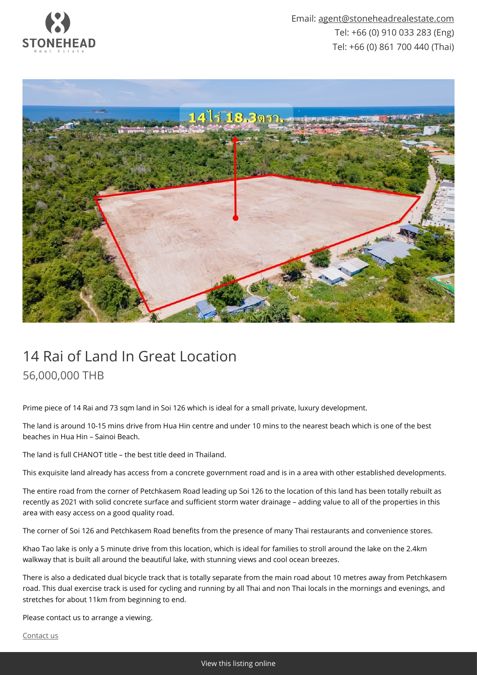



## 14 Rai of Land In Great Location 56,000,000 THB

Prime piece of 14 Rai and 73 sqm land in Soi 126 which is ideal for a small private, luxury development.

The land is around 10-15 mins drive from Hua Hin centre and under 10 mins to the nearest beach which is one of the best beaches in Hua Hin – Sainoi Beach.

The land is full CHANOT title – the best title deed in Thailand.

This exquisite land already has access from a concrete government road and is in a area with other established developments.

The entire road from the corner of Petchkasem Road leading up Soi 126 to the location of this land has been totally rebuilt as recently as 2021 with solid concrete surface and sufficient storm water drainage – adding value to all of the properties in this area with easy access on a good quality road.

The corner of Soi 126 and Petchkasem Road benefits from the presence of many Thai restaurants and convenience stores.

Khao Tao lake is only a 5 minute drive from this location, which is ideal for families to stroll around the lake on the 2.4km walkway that is built all around the beautiful lake, with stunning views and cool ocean breezes.

There is also a dedicated dual bicycle track that is totally separate from the main road about 10 metres away from Petchkasem road. This dual exercise track is used for cycling and running by all Thai and non Thai locals in the mornings and evenings, and stretches for about 11km from beginning to end.

Please contact us to arrange a viewing.

[Contact us](mailto:agent@stoneheadrealestate.com)